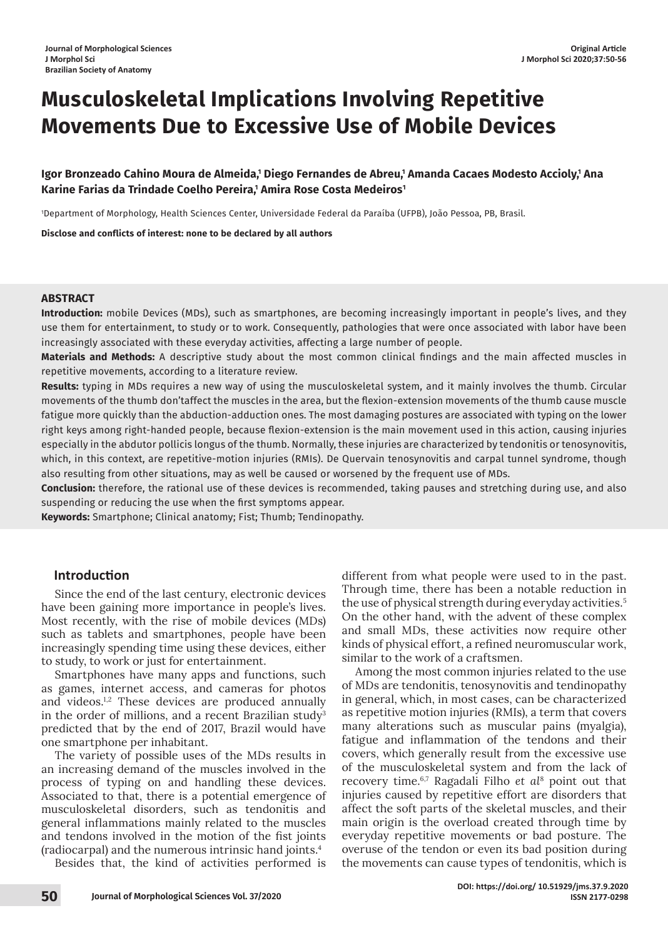# **Musculoskeletal Implications Involving Repetitive Movements Due to Excessive Use of Mobile Devices**

## Igor Bronzeado Cahino Moura de Almeida,' Diego Fernandes de Abreu,' Amanda Cacaes Modesto Accioly,' Ana Karine Farias da Trindade Coelho Pereira,' Amira Rose Costa Medeiros'

1 Department of Morphology, Health Sciences Center, Universidade Federal da Paraíba (UFPB), João Pessoa, PB, Brasil.

**Disclose and conflicts of interest: none to be declared by all authors**

#### **ABSTRACT**

**Introduction:** mobile Devices (MDs), such as smartphones, are becoming increasingly important in people's lives, and they use them for entertainment, to study or to work. Consequently, pathologies that were once associated with labor have been increasingly associated with these everyday activities, affecting a large number of people.

**Materials and Methods:** A descriptive study about the most common clinical findings and the main affected muscles in repetitive movements, according to a literature review.

**Results:** typing in MDs requires a new way of using the musculoskeletal system, and it mainly involves the thumb. Circular movements of the thumb don'taffect the muscles in the area, but the flexion-extension movements of the thumb cause muscle fatigue more quickly than the abduction-adduction ones. The most damaging postures are associated with typing on the lower right keys among right-handed people, because flexion-extension is the main movement used in this action, causing injuries especially in the abdutor pollicis longus of the thumb. Normally, these injuries are characterized by tendonitis or tenosynovitis, which, in this context, are repetitive-motion injuries (RMIs). De Quervain tenosynovitis and carpal tunnel syndrome, though also resulting from other situations, may as well be caused or worsened by the frequent use of MDs.

**Conclusion:** therefore, the rational use of these devices is recommended, taking pauses and stretching during use, and also suspending or reducing the use when the first symptoms appear.

**Keywords:** Smartphone; Clinical anatomy; Fist; Thumb; Tendinopathy.

## **Introduction**

Since the end of the last century, electronic devices have been gaining more importance in people's lives. Most recently, with the rise of mobile devices (MDs) such as tablets and smartphones, people have been increasingly spending time using these devices, either to study, to work or just for entertainment.

Smartphones have many apps and functions, such as games, internet access, and cameras for photos and videos.<sup>1,2</sup> These devices are produced annually in the order of millions, and a recent Brazilian study<sup>3</sup> predicted that by the end of 2017, Brazil would have one smartphone per inhabitant.

The variety of possible uses of the MDs results in an increasing demand of the muscles involved in the process of typing on and handling these devices. Associated to that, there is a potential emergence of musculoskeletal disorders, such as tendonitis and general inflammations mainly related to the muscles and tendons involved in the motion of the fist joints (radiocarpal) and the numerous intrinsic hand joints.4 Besides that, the kind of activities performed is

different from what people were used to in the past. Through time, there has been a notable reduction in the use of physical strength during everyday activities.<sup>5</sup> On the other hand, with the advent of these complex and small MDs, these activities now require other kinds of physical effort, a refined neuromuscular work, similar to the work of a craftsmen.

Among the most common injuries related to the use of MDs are tendonitis, tenosynovitis and tendinopathy in general, which, in most cases, can be characterized as repetitive motion injuries (RMIs), a term that covers many alterations such as muscular pains (myalgia), fatigue and inflammation of the tendons and their covers, which generally result from the excessive use of the musculoskeletal system and from the lack of recovery time.6,7 Ragadali Filho *et al*<sup>8</sup> point out that injuries caused by repetitive effort are disorders that affect the soft parts of the skeletal muscles, and their main origin is the overload created through time by everyday repetitive movements or bad posture. The overuse of the tendon or even its bad position during the movements can cause types of tendonitis, which is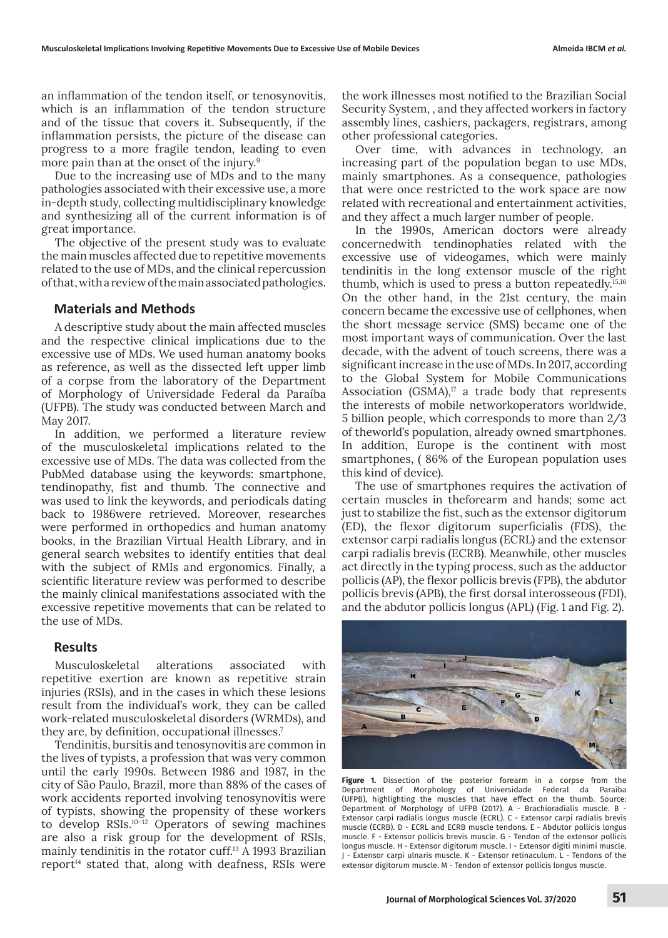an inflammation of the tendon itself, or tenosynovitis, which is an inflammation of the tendon structure and of the tissue that covers it. Subsequently, if the inflammation persists, the picture of the disease can progress to a more fragile tendon, leading to even more pain than at the onset of the injury.<sup>9</sup>

Due to the increasing use of MDs and to the many pathologies associated with their excessive use, a more in-depth study, collecting multidisciplinary knowledge and synthesizing all of the current information is of great importance.

The objective of the present study was to evaluate the main muscles affected due to repetitive movements related to the use of MDs, and the clinical repercussion of that, with a review of the main associated pathologies.

## **Materials and Methods**

A descriptive study about the main affected muscles and the respective clinical implications due to the excessive use of MDs. We used human anatomy books as reference, as well as the dissected left upper limb of a corpse from the laboratory of the Department of Morphology of Universidade Federal da Paraíba (UFPB). The study was conducted between March and May 2017.

In addition, we performed a literature review of the musculoskeletal implications related to the excessive use of MDs. The data was collected from the PubMed database using the keywords: smartphone, tendinopathy, fist and thumb. The connective and was used to link the keywords, and periodicals dating back to 1986were retrieved. Moreover, researches were performed in orthopedics and human anatomy books, in the Brazilian Virtual Health Library, and in general search websites to identify entities that deal with the subject of RMIs and ergonomics. Finally, a scientific literature review was performed to describe the mainly clinical manifestations associated with the excessive repetitive movements that can be related to the use of MDs.

## **Results**

Musculoskeletal alterations associated with repetitive exertion are known as repetitive strain injuries (RSIs), and in the cases in which these lesions result from the individual's work, they can be called work-related musculoskeletal disorders (WRMDs), and they are, by definition, occupational illnesses.<sup>7</sup>

Tendinitis, bursitis and tenosynovitis are common in the lives of typists, a profession that was very common until the early 1990s. Between 1986 and 1987, in the city of São Paulo, Brazil, more than 88% of the cases of work accidents reported involving tenosynovitis were of typists, showing the propensity of these workers to develop RSIs.10–12 Operators of sewing machines are also a risk group for the development of RSIs, mainly tendinitis in the rotator cuff.13 A 1993 Brazilian  $report<sup>14</sup>$  stated that, along with deafness, RSIs were

the work illnesses most notified to the Brazilian Social Security System, , and they affected workers in factory assembly lines, cashiers, packagers, registrars, among other professional categories.

Over time, with advances in technology, an increasing part of the population began to use MDs, mainly smartphones. As a consequence, pathologies that were once restricted to the work space are now related with recreational and entertainment activities, and they affect a much larger number of people.

In the 1990s, American doctors were already concernedwith tendinophaties related with the excessive use of videogames, which were mainly tendinitis in the long extensor muscle of the right thumb, which is used to press a button repeatedly.15,16 On the other hand, in the 21st century, the main concern became the excessive use of cellphones, when the short message service (SMS) became one of the most important ways of communication. Over the last decade, with the advent of touch screens, there was a significant increase in the use of MDs. In 2017, according to the Global System for Mobile Communications Association  $(GSMA)^{17}$  a trade body that represents the interests of mobile networkoperators worldwide, 5 billion people, which corresponds to more than 2/3 of theworld's population, already owned smartphones. In addition, Europe is the continent with most smartphones, ( 86% of the European population uses this kind of device).

The use of smartphones requires the activation of certain muscles in theforearm and hands; some act just to stabilize the fist, such as the extensor digitorum (ED), the flexor digitorum superficialis (FDS), the extensor carpi radialis longus (ECRL) and the extensor carpi radialis brevis (ECRB). Meanwhile, other muscles act directly in the typing process, such as the adductor pollicis (AP), the flexor pollicis brevis (FPB), the abdutor pollicis brevis (APB), the first dorsal interosseous (FDI), and the abdutor pollicis longus (APL) (Fig. 1 and Fig. 2).



**Figure 1.** Dissection of the posterior forearm in a corpse from the Department of Morphology of Universidade Federal da Paraíba of Morphology of Universidade Federal da Paraíba (UFPB), highlighting the muscles that have effect on the thumb. Source: Department of Morphology of UFPB (2017). A - Brachioradialis muscle. B - Extensor carpi radialis longus muscle (ECRL). C - Extensor carpi radialis brevis muscle (ECRB). D - ECRL and ECRB muscle tendons. E - Abdutor pollicis longus muscle. F - Extensor pollicis brevis muscle. G - Tendon of the extensor pollicis longus muscle. H - Extensor digitorum muscle. I - Extensor digiti minimi muscle. J - Extensor carpi ulnaris muscle. K - Extensor retinaculum. L - Tendons of the extensor digitorum muscle. M - Tendon of extensor pollicis longus muscle.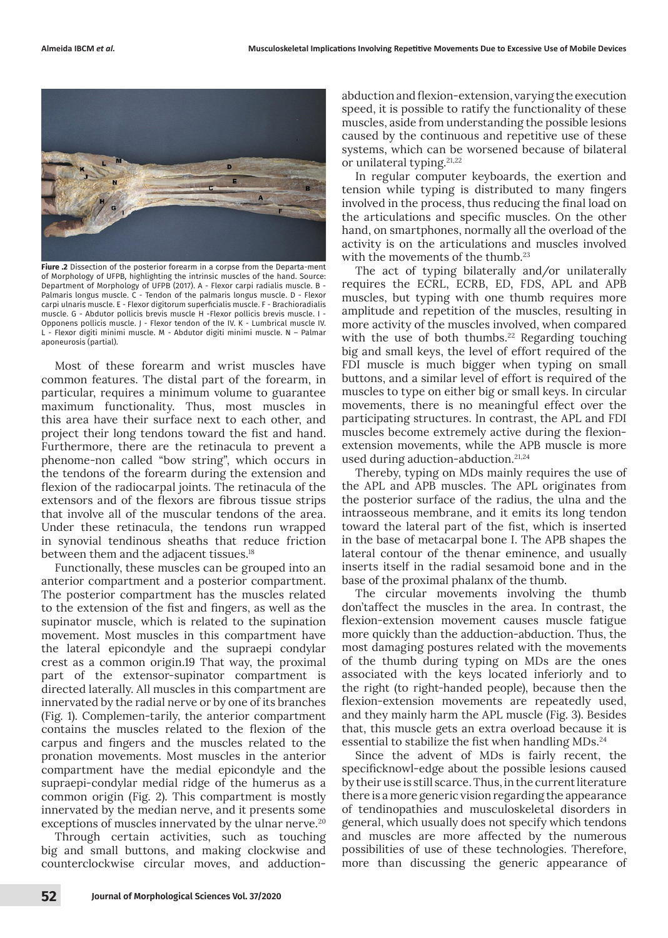

**Fiure .2** Dissection of the posterior forearm in a corpse from the Departa-ment of Morphology of UFPB, highlighting the intrinsic muscles of the hand. Source: Department of Morphology of UFPB (2017). A - Flexor carpi radialis muscle. B - Palmaris longus muscle. C - Tendon of the palmaris longus muscle. D - Flexor carpi ulnaris muscle. E - Flexor digitorum superficialis muscle. F - Brachioradialis muscle. G - Abdutor pollicis brevis muscle H -Flexor pollicis brevis muscle. I - Opponens pollicis muscle. J - Flexor tendon of the IV. K - Lumbrical muscle IV. L - Flexor digiti minimi muscle. M - Abdutor digiti minimi muscle. N – Palmar aponeurosis (partial).

Most of these forearm and wrist muscles have common features. The distal part of the forearm, in particular, requires a minimum volume to guarantee maximum functionality. Thus, most muscles in this area have their surface next to each other, and project their long tendons toward the fist and hand. Furthermore, there are the retinacula to prevent a phenome-non called "bow string", which occurs in the tendons of the forearm during the extension and flexion of the radiocarpal joints. The retinacula of the extensors and of the flexors are fibrous tissue strips that involve all of the muscular tendons of the area. Under these retinacula, the tendons run wrapped in synovial tendinous sheaths that reduce friction between them and the adjacent tissues.18

Functionally, these muscles can be grouped into an anterior compartment and a posterior compartment. The posterior compartment has the muscles related to the extension of the fist and fingers, as well as the supinator muscle, which is related to the supination movement. Most muscles in this compartment have the lateral epicondyle and the supraepi condylar crest as a common origin.19 That way, the proximal part of the extensor-supinator compartment is directed laterally. All muscles in this compartment are innervated by the radial nerve or by one of its branches (Fig. 1). Complemen-tarily, the anterior compartment contains the muscles related to the flexion of the carpus and fingers and the muscles related to the pronation movements. Most muscles in the anterior compartment have the medial epicondyle and the supraepi-condylar medial ridge of the humerus as a common origin (Fig. 2). This compartment is mostly innervated by the median nerve, and it presents some exceptions of muscles innervated by the ulnar nerve.<sup>20</sup>

Through certain activities, such as touching big and small buttons, and making clockwise and counterclockwise circular moves, and adductionabduction and flexion-extension, varying the execution speed, it is possible to ratify the functionality of these muscles, aside from understanding the possible lesions caused by the continuous and repetitive use of these systems, which can be worsened because of bilateral or unilateral typing.21,22

In regular computer keyboards, the exertion and tension while typing is distributed to many fingers involved in the process, thus reducing the final load on the articulations and specific muscles. On the other hand, on smartphones, normally all the overload of the activity is on the articulations and muscles involved with the movements of the thumb.<sup>23</sup>

The act of typing bilaterally and/or unilaterally requires the ECRL, ECRB, ED, FDS, APL and APB muscles, but typing with one thumb requires more amplitude and repetition of the muscles, resulting in more activity of the muscles involved, when compared with the use of both thumbs.<sup>22</sup> Regarding touching big and small keys, the level of effort required of the FDI muscle is much bigger when typing on small buttons, and a similar level of effort is required of the muscles to type on either big or small keys. In circular movements, there is no meaningful effect over the participating structures. In contrast, the APL and FDI muscles become extremely active during the flexionextension movements, while the APB muscle is more used during aduction-abduction.21,24

Thereby, typing on MDs mainly requires the use of the APL and APB muscles. The APL originates from the posterior surface of the radius, the ulna and the intraosseous membrane, and it emits its long tendon toward the lateral part of the fist, which is inserted in the base of metacarpal bone I. The APB shapes the lateral contour of the thenar eminence, and usually inserts itself in the radial sesamoid bone and in the base of the proximal phalanx of the thumb.

The circular movements involving the thumb don'taffect the muscles in the area. In contrast, the flexion-extension movement causes muscle fatigue more quickly than the adduction-abduction. Thus, the most damaging postures related with the movements of the thumb during typing on MDs are the ones associated with the keys located inferiorly and to the right (to right-handed people), because then the flexion-extension movements are repeatedly used, and they mainly harm the APL muscle (Fig. 3). Besides that, this muscle gets an extra overload because it is essential to stabilize the fist when handling MDs.<sup>24</sup>

Since the advent of MDs is fairly recent, the specificknowl-edge about the possible lesions caused by their use is still scarce. Thus, in the current literature there is a more generic vision regarding the appearance of tendinopathies and musculoskeletal disorders in general, which usually does not specify which tendons and muscles are more affected by the numerous possibilities of use of these technologies. Therefore, more than discussing the generic appearance of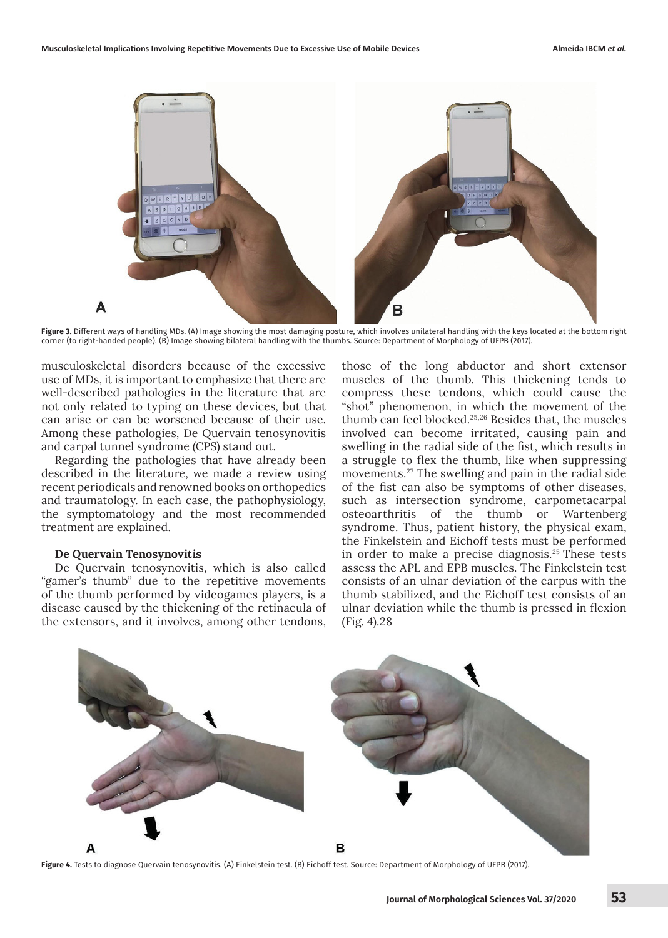

**Figure 3.** Different ways of handling MDs. (A) Image showing the most damaging posture, which involves unilateral handling with the keys located at the bottom right corner (to right-handed people). (B) Image showing bilateral handling with the thumbs. Source: Department of Morphology of UFPB (2017).

musculoskeletal disorders because of the excessive use of MDs, it is important to emphasize that there are well-described pathologies in the literature that are not only related to typing on these devices, but that can arise or can be worsened because of their use. Among these pathologies, De Quervain tenosynovitis and carpal tunnel syndrome (CPS) stand out.

Regarding the pathologies that have already been described in the literature, we made a review using recent periodicals and renowned books on orthopedics and traumatology. In each case, the pathophysiology, the symptomatology and the most recommended treatment are explained.

## **De Quervain Tenosynovitis**

De Quervain tenosynovitis, which is also called "gamer's thumb" due to the repetitive movements of the thumb performed by videogames players, is a disease caused by the thickening of the retinacula of the extensors, and it involves, among other tendons,

those of the long abductor and short extensor muscles of the thumb. This thickening tends to compress these tendons, which could cause the "shot" phenomenon, in which the movement of the thumb can feel blocked.25,26 Besides that, the muscles involved can become irritated, causing pain and swelling in the radial side of the fist, which results in a struggle to flex the thumb, like when suppressing movements.27 The swelling and pain in the radial side of the fist can also be symptoms of other diseases, such as intersection syndrome, carpometacarpal osteoarthritis of the thumb or Wartenberg syndrome. Thus, patient history, the physical exam, the Finkelstein and Eichoff tests must be performed in order to make a precise diagnosis.25 These tests assess the APL and EPB muscles. The Finkelstein test consists of an ulnar deviation of the carpus with the thumb stabilized, and the Eichoff test consists of an ulnar deviation while the thumb is pressed in flexion (Fig. 4).28



**Figure 4.** Tests to diagnose Quervain tenosynovitis. (A) Finkelstein test. (B) Eichoff test. Source: Department of Morphology of UFPB (2017).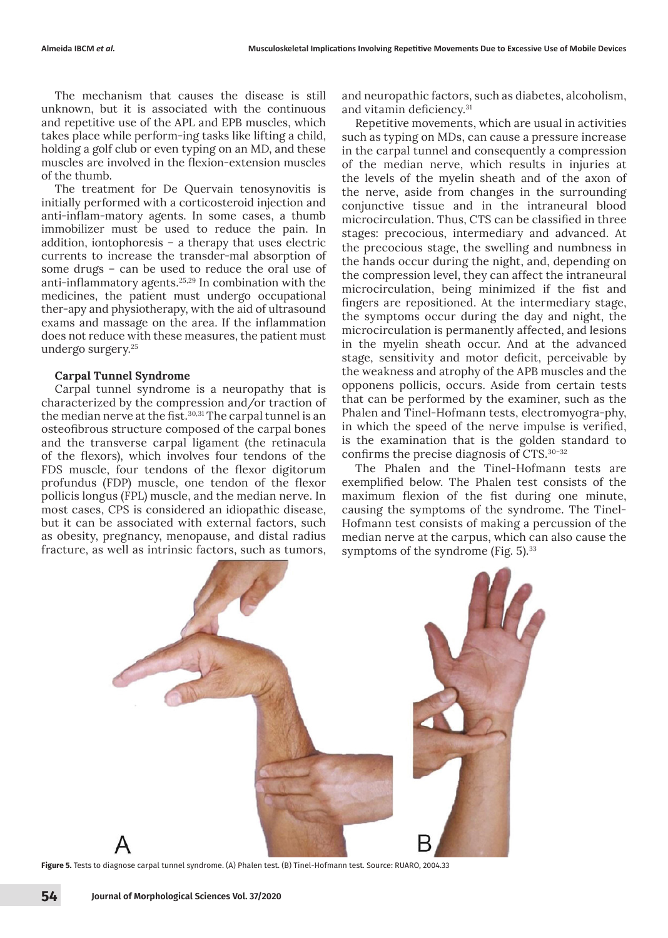The mechanism that causes the disease is still unknown, but it is associated with the continuous and repetitive use of the APL and EPB muscles, which takes place while perform-ing tasks like lifting a child, holding a golf club or even typing on an MD, and these muscles are involved in the flexion-extension muscles of the thumb.

The treatment for De Quervain tenosynovitis is initially performed with a corticosteroid injection and anti-inflam-matory agents. In some cases, a thumb immobilizer must be used to reduce the pain. In addition, iontophoresis – a therapy that uses electric currents to increase the transder-mal absorption of some drugs – can be used to reduce the oral use of anti-inflammatory agents.25,29 In combination with the medicines, the patient must undergo occupational ther-apy and physiotherapy, with the aid of ultrasound exams and massage on the area. If the inflammation does not reduce with these measures, the patient must undergo surgery.25

## **Carpal Tunnel Syndrome**

Carpal tunnel syndrome is a neuropathy that is characterized by the compression and/or traction of the median nerve at the fist.<sup>30,31</sup> The carpal tunnel is an osteofibrous structure composed of the carpal bones and the transverse carpal ligament (the retinacula of the flexors), which involves four tendons of the FDS muscle, four tendons of the flexor digitorum profundus (FDP) muscle, one tendon of the flexor pollicis longus (FPL) muscle, and the median nerve. In most cases, CPS is considered an idiopathic disease, but it can be associated with external factors, such as obesity, pregnancy, menopause, and distal radius fracture, as well as intrinsic factors, such as tumors,

and neuropathic factors, such as diabetes, alcoholism, and vitamin deficiency.<sup>31</sup>

Repetitive movements, which are usual in activities such as typing on MDs, can cause a pressure increase in the carpal tunnel and consequently a compression of the median nerve, which results in injuries at the levels of the myelin sheath and of the axon of the nerve, aside from changes in the surrounding conjunctive tissue and in the intraneural blood microcirculation. Thus, CTS can be classified in three stages: precocious, intermediary and advanced. At the precocious stage, the swelling and numbness in the hands occur during the night, and, depending on the compression level, they can affect the intraneural microcirculation, being minimized if the fist and fingers are repositioned. At the intermediary stage, the symptoms occur during the day and night, the microcirculation is permanently affected, and lesions in the myelin sheath occur. And at the advanced stage, sensitivity and motor deficit, perceivable by the weakness and atrophy of the APB muscles and the opponens pollicis, occurs. Aside from certain tests that can be performed by the examiner, such as the Phalen and Tinel-Hofmann tests, electromyogra-phy, in which the speed of the nerve impulse is verified, is the examination that is the golden standard to confirms the precise diagnosis of CTS.30–32

The Phalen and the Tinel-Hofmann tests are exemplified below. The Phalen test consists of the maximum flexion of the fist during one minute, causing the symptoms of the syndrome. The Tinel-Hofmann test consists of making a percussion of the median nerve at the carpus, which can also cause the symptoms of the syndrome (Fig.  $5$ ).<sup>33</sup>



**Figure 5.** Tests to diagnose carpal tunnel syndrome. (A) Phalen test. (B) Tinel-Hofmann test. Source: RUARO, 2004.33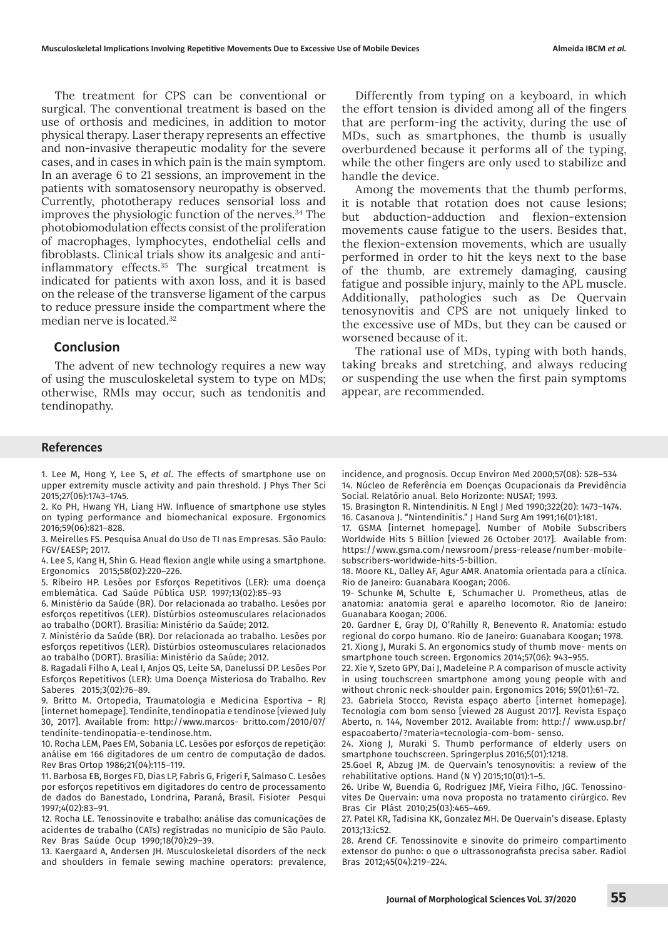The treatment for CPS can be conventional or surgical. The conventional treatment is based on the use of orthosis and medicines, in addition to motor physical therapy. Laser therapy represents an effective and non-invasive therapeutic modality for the severe cases, and in cases in which pain is the main symptom. In an average 6 to 21 sessions, an improvement in the patients with somatosensory neuropathy is observed. Currently, phototherapy reduces sensorial loss and improves the physiologic function of the nerves.34 The photobiomodulation effects consist of the proliferation of macrophages, lymphocytes, endothelial cells and fibroblasts. Clinical trials show its analgesic and antiinflammatory effects.<sup>35</sup> The surgical treatment is indicated for patients with axon loss, and it is based on the release of the transverse ligament of the carpus to reduce pressure inside the compartment where the median nerve is located.32

## **Conclusion**

The advent of new technology requires a new way of using the musculoskeletal system to type on MDs; otherwise, RMIs may occur, such as tendonitis and tendinopathy.

Differently from typing on a keyboard, in which the effort tension is divided among all of the fingers that are perform-ing the activity, during the use of MDs, such as smartphones, the thumb is usually overburdened because it performs all of the typing, while the other fingers are only used to stabilize and handle the device.

Among the movements that the thumb performs, it is notable that rotation does not cause lesions; but abduction-adduction and flexion-extension movements cause fatigue to the users. Besides that, the flexion-extension movements, which are usually performed in order to hit the keys next to the base of the thumb, are extremely damaging, causing fatigue and possible injury, mainly to the APL muscle. Additionally, pathologies such as De Quervain tenosynovitis and CPS are not uniquely linked to the excessive use of MDs, but they can be caused or worsened because of it.

The rational use of MDs, typing with both hands, taking breaks and stretching, and always reducing or suspending the use when the first pain symptoms appear, are recommended.

#### **References**

1. Lee M, Hong Y, Lee S, *et al*. The effects of smartphone use on upper extremity muscle activity and pain threshold. J Phys Ther Sci 2015;27(06):1743–1745.

2. Ko PH, Hwang YH, Liang HW. Influence of smartphone use styles on typing performance and biomechanical exposure. Ergonomics 2016;59(06):821–828.

3. Meirelles FS. Pesquisa Anual do Uso de TI nas Empresas. São Paulo: FGV/EAESP; 2017.

4. Lee S, Kang H, Shin G. Head flexion angle while using a smartphone. Ergonomics 2015;58(02):220–226.

5. Ribeiro HP. Lesões por Esforços Repetitivos (LER): uma doença emblemática. Cad Saúde Pública USP. 1997;13(02):85–93

6. Ministério da Saúde (BR). Dor relacionada ao trabalho. Lesões por esforços repetitivos (LER). Distúrbios osteomusculares relacionados ao trabalho (DORT). Brasília: Ministério da Saúde; 2012.

7. Ministério da Saúde (BR). Dor relacionada ao trabalho. Lesões por esforços repetitivos (LER). Distúrbios osteomusculares relacionados ao trabalho (DORT). Brasília: Ministério da Saúde; 2012.

8. Ragadali Filho A, Leal I, Anjos QS, Leite SA, Danelussi DP. Lesões Por Esforços Repetitivos (LER): Uma Doença Misteriosa do Trabalho. Rev Saberes 2015;3(02):76–89.

9. Britto M. Ortopedia, Traumatologia e Medicina Esportiva – RJ [internet homepage]. Tendinite, tendinopatia e tendinose [viewed July 30, 2017]. Available from: http://www.marcos- britto.com/2010/07/ tendinite-tendinopatia-e-tendinose.htm.

10. Rocha LEM, Paes EM, Sobania LC. Lesões por esforços de repetição: análise em 166 digitadores de um centro de computação de dados. Rev Bras Ortop 1986;21(04):115–119.

11. Barbosa EB, Borges FD, Dias LP, Fabris G, Frigeri F, Salmaso C. Lesões por esforços repetitivos em digitadores do centro de processamento de dados do Banestado, Londrina, Paraná, Brasil. Fisioter Pesqui 1997;4(02):83–91.

12. Rocha LE. Tenossinovite e trabalho: análise das comunicações de acidentes de trabalho (CATs) registradas no município de São Paulo. Rev Bras Saúde Ocup 1990;18(70):29–39.

13. Kaergaard A, Andersen JH. Musculoskeletal disorders of the neck and shoulders in female sewing machine operators: prevalence,

incidence, and prognosis. Occup Environ Med 2000;57(08): 528–534 14. Núcleo de Referência em Doenças Ocupacionais da Previdência Social. Relatório anual. Belo Horizonte: NUSAT; 1993.

15. Brasington R. Nintendinitis. N Engl J Med 1990;322(20): 1473–1474. 16. Casanova J. "Nintendinitis." J Hand Surg Am 1991;16(01):181.

17. GSMA [internet homepage]. Number of Mobile Subscribers Worldwide Hits 5 Billion [viewed 26 October 2017]. Available from: https://www.gsma.com/newsroom/press-release/number-mobilesubscribers-worldwide-hits-5-billion.

18. Moore KL, Dalley AF, Agur AMR. Anatomia orientada para a clínica. Rio de Janeiro: Guanabara Koogan; 2006.

19- Schunke M, Schulte E, Schumacher U. Prometheus, atlas de anatomia: anatomia geral e aparelho locomotor. Rio de Janeiro: Guanabara Koogan; 2006.

20. Gardner E, Gray DJ, O'Rahilly R, Benevento R. Anatomia: estudo regional do corpo humano. Rio de Janeiro: Guanabara Koogan; 1978. 21. Xiong J, Muraki S. An ergonomics study of thumb move- ments on smartphone touch screen. Ergonomics 2014;57(06): 943–955.

22. Xie Y, Szeto GPY, Dai J, Madeleine P. A comparison of muscle activity in using touchscreen smartphone among young people with and without chronic neck-shoulder pain. Ergonomics 2016; 59(01):61–72.

23. Gabriela Stocco, Revista espaço aberto [internet homepage]. Tecnologia com bom senso [viewed 28 August 2017]. Revista Espaço Aberto, n. 144, November 2012. Available from: http:// www.usp.br/ espacoaberto/?materia=tecnologia-com-bom- senso.

24. Xiong J, Muraki S. Thumb performance of elderly users on smartphone touchscreen. Springerplus 2016;5(01):1218.

25.Goel R, Abzug JM. de Quervain's tenosynovitis: a review of the rehabilitative options. Hand (N Y) 2015;10(01):1–5.

26. Uribe W, Buendia G, Rodriguez JMF, Vieira Filho, JGC. Tenossinovites De Quervain: uma nova proposta no tratamento cirúrgico. Rev Bras Cir Plást 2010;25(03):465–469.

27. Patel KR, Tadisina KK, Gonzalez MH. De Quervain's disease. Eplasty 2013;13:ic52.

28. Arend CF. Tenossinovite e sinovite do primeiro compartimento extensor do punho: o que o ultrassonografista precisa saber. Radiol Bras 2012;45(04):219–224.